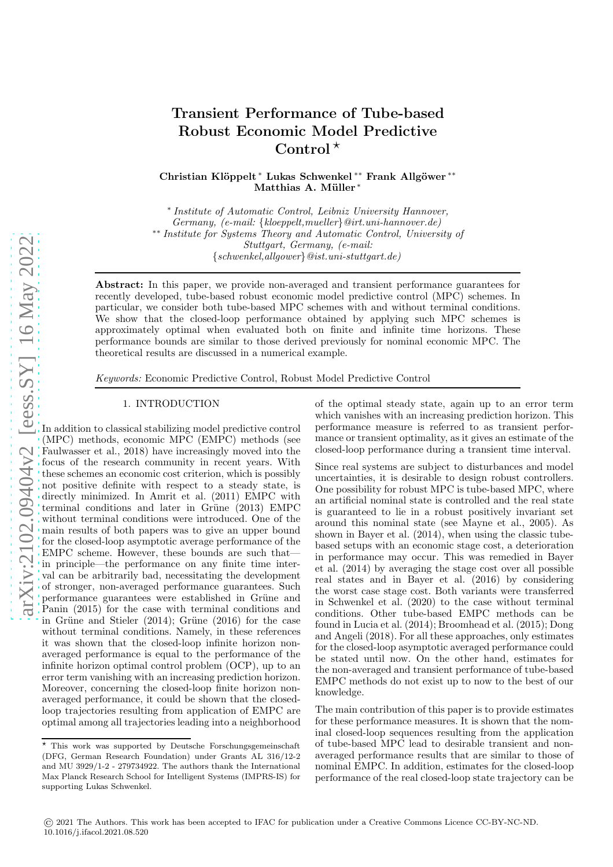# Transient Performance of Tube-based Robust Economic Model Predictive Control $^{\star}$

Christian Klöppelt <sup>∗</sup> Lukas Schwenkel <sup>∗∗</sup> Frank Allgöwer <sup>∗</sup>\* Matthias A. Müller\*

∗ *Institute of Automatic Control, Leibniz University Hannover, Germany, (e-mail:* {*kloeppelt,mueller*}*@irt.uni-hannover.de)* ∗∗ *Institute for Systems Theory and Automatic Control, University of Stuttgart, Germany, (e-mail:* {*schwenkel,allgower*}*@ist.uni-stuttgart.de)*

Abstract: In this paper, we provide non-averaged and transient performance guarantees for recently developed, tube-based robust economic model predictive control (MPC) schemes. In particular, we consider both tube-based MPC schemes with and without terminal conditions. We show that the closed-loop performance obtained by applying such MPC schemes is approximately optimal when evaluated both on finite and infinite time horizons. These performance bounds are similar to those derived previously for nominal economic MPC. The theoretical results are discussed in a numerical example.

*Keywords:* Economic Predictive Control, Robust Model Predictive Control

## 1. INTRODUCTION

In addition to classical stabilizing model predictive control (MPC) methods, economic MPC (EMPC) methods (see Faulwasser et al., 2018) have increasingly moved into the focus of the research community in recent years. With these schemes an economic cost criterion, which is possibly not positive definite with respect to a steady state, is directly minimized. In Amrit et al. (2011) EMPC with terminal conditions and later in Grüne  $(2013)$  EMPC without terminal conditions were introduced. One of the main results of both papers was to give an upper bound for the closed-loop asymptotic average performance of the EMPC scheme. However, these bounds are such that in principle—the performance on any finite time interval can be arbitrarily bad, necessitating the development of stronger, non-averaged performance guarantees. Such performance guarantees were established in Grüne and Panin (2015) for the case with terminal conditions and in Grüne and Stieler  $(2014)$ ; Grüne  $(2016)$  for the case without terminal conditions. Namely, in these references it was shown that the closed-loop infinite horizon nonaveraged performance is equal to the performance of the infinite horizon optimal control problem (OCP), up to an error term vanishing with an increasing prediction horizon. Moreover, concerning the closed-loop finite horizon nonaveraged performance, it could be shown that the closedloop trajectories resulting from application of EMPC are optimal among all trajectories leading into a neighborhood

of the optimal steady state, again up to an error term which vanishes with an increasing prediction horizon. This performance measure is referred to as transient performance or transient optimality, as it gives an estimate of the closed-loop performance during a transient time interval.

Since real systems are subject to disturbances and model uncertainties, it is desirable to design robust controllers. One possibility for robust MPC is tube-based MPC, where an artificial nominal state is controlled and the real state is guaranteed to lie in a robust positively invariant set around this nominal state (see Mayne et al., 2005). As shown in Bayer et al. (2014), when using the classic tubebased setups with an economic stage cost, a deterioration in performance may occur. This was remedied in Bayer et al. (2014) by averaging the stage cost over all possible real states and in Bayer et al. (2016) by considering the worst case stage cost. Both variants were transferred in Schwenkel et al. (2020) to the case without terminal conditions. Other tube-based EMPC methods can be found in Lucia et al. (2014); Broomhead et al. (2015); Dong and Angeli (2018). For all these approaches, only estimates for the closed-loop asymptotic averaged performance could be stated until now. On the other hand, estimates for the non-averaged and transient performance of tube-based EMPC methods do not exist up to now to the best of our knowledge.

The main contribution of this paper is to provide estimates for these performance measures. It is shown that the nominal closed-loop sequences resulting from the application of tube-based MPC lead to desirable transient and nonaveraged performance results that are similar to those of nominal EMPC. In addition, estimates for the closed-loop performance of the real closed-loop state trajectory can be

<sup>⋆</sup> This work was supported by Deutsche Forschungsgemeinschaft (DFG, German Research Foundation) under Grants AL 316/12-2 and MU 3929/1-2 - 279734922. The authors thank the International Max Planck Research School for Intelligent Systems (IMPRS-IS) for supporting Lukas Schwenkel.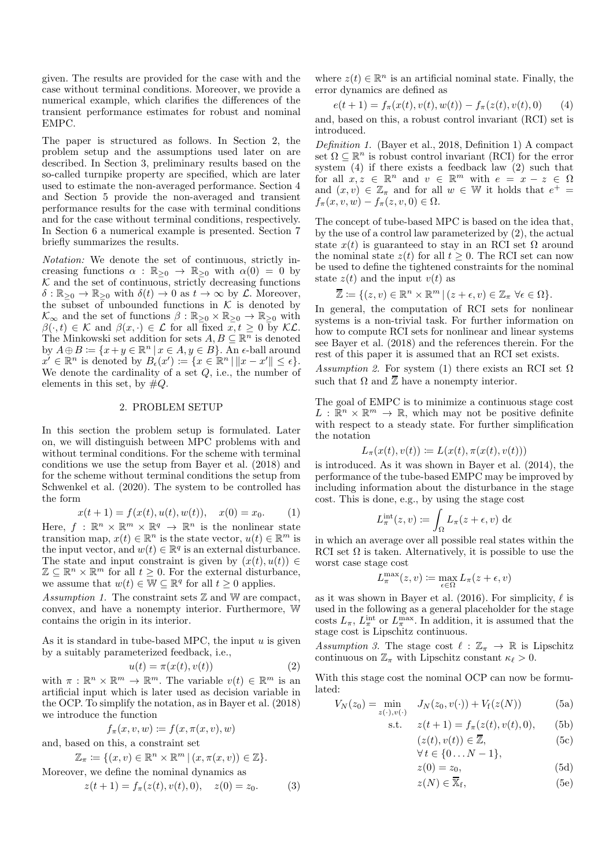given. The results are provided for the case with and the case without terminal conditions. Moreover, we provide a numerical example, which clarifies the differences of the transient performance estimates for robust and nominal EMPC.

The paper is structured as follows. In Section 2, the problem setup and the assumptions used later on are described. In Section 3, preliminary results based on the so-called turnpike property are specified, which are later used to estimate the non-averaged performance. Section 4 and Section 5 provide the non-averaged and transient performance results for the case with terminal conditions and for the case without terminal conditions, respectively. In Section 6 a numerical example is presented. Section 7 briefly summarizes the results.

*Notation:* We denote the set of continuous, strictly increasing functions  $\alpha : \mathbb{R}_{\geq 0} \to \mathbb{R}_{\geq 0}$  with  $\alpha(0) = 0$  by  $K$  and the set of continuous, strictly decreasing functions  $\delta : \mathbb{R}_{\geq 0} \to \mathbb{R}_{\geq 0}$  with  $\delta(t) \to 0$  as  $t \to \infty$  by  $\mathcal{L}$ . Moreover, the subset of unbounded functions in  $K$  is denoted by  $\mathcal{K}_{\infty}$  and the set of functions  $\beta : \mathbb{R}_{\geq 0} \times \mathbb{R}_{\geq 0} \to \mathbb{R}_{\geq 0}$  with  $\beta(\cdot, t) \in \mathcal{K}$  and  $\beta(x, \cdot) \in \mathcal{L}$  for all fixed  $x, t \geq 0$  by  $\mathcal{KL}$ . The Minkowski set addition for sets  $A, B \subseteq \mathbb{R}^n$  is denoted by  $A \oplus B \coloneqq \{x + y \in \mathbb{R}^n \mid x \in A, y \in B\}$ . An  $\epsilon$ -ball around  $x' \in \mathbb{R}^n$  is denoted by  $B_{\epsilon}(x') := \{x \in \mathbb{R}^n \mid ||x - x'|| \leq \epsilon\}.$ We denote the cardinality of a set  $Q$ , i.e., the number of elements in this set, by  $\#Q$ .

#### 2. PROBLEM SETUP

In this section the problem setup is formulated. Later on, we will distinguish between MPC problems with and without terminal conditions. For the scheme with terminal conditions we use the setup from Bayer et al. (2018) and for the scheme without terminal conditions the setup from Schwenkel et al. (2020). The system to be controlled has the form

$$
x(t+1) = f(x(t), u(t), w(t)), \quad x(0) = x_0.
$$
 (1)

Here,  $f : \mathbb{R}^n \times \mathbb{R}^m \times \mathbb{R}^q \to \mathbb{R}^n$  is the nonlinear state transition map,  $x(t) \in \mathbb{R}^n$  is the state vector,  $u(t) \in \mathbb{R}^m$  is the input vector, and  $w(t) \in \mathbb{R}^q$  is an external disturbance. The state and input constraint is given by  $(x(t), u(t)) \in$  $\mathbb{Z} \subseteq \mathbb{R}^n \times \mathbb{R}^m$  for all  $t \geq 0$ . For the external disturbance, we assume that  $w(t) \in \mathbb{W} \subseteq \mathbb{R}^q$  for all  $t \geq 0$  applies.

*Assumption 1.* The constraint sets  $\mathbb{Z}$  and  $\mathbb{W}$  are compact, convex, and have a nonempty interior. Furthermore, W contains the origin in its interior.

As it is standard in tube-based MPC, the input  $u$  is given by a suitably parameterized feedback, i.e.,

$$
u(t) = \pi(x(t), v(t))
$$
\n(2)

with  $\pi : \mathbb{R}^n \times \mathbb{R}^m \to \mathbb{R}^m$ . The variable  $v(t) \in \mathbb{R}^m$  is an artificial input which is later used as decision variable in the OCP. To simplify the notation, as in Bayer et al. (2018) we introduce the function

$$
f_{\pi}(x, v, w) \coloneqq f(x, \pi(x, v), w)
$$

and, based on this, a constraint set

$$
\mathbb{Z}_{\pi} := \{ (x, v) \in \mathbb{R}^n \times \mathbb{R}^m \mid (x, \pi(x, v)) \in \mathbb{Z} \}.
$$

Moreover, we define the nominal dynamics as

$$
z(t+1) = f_{\pi}(z(t), v(t), 0), \quad z(0) = z_0.
$$
 (3)

where  $z(t) \in \mathbb{R}^n$  is an artificial nominal state. Finally, the error dynamics are defined as

$$
e(t+1) = f_{\pi}(x(t), v(t), w(t)) - f_{\pi}(z(t), v(t), 0)
$$
 (4)

and, based on this, a robust control invariant (RCI) set is introduced.

*Definition 1.* (Bayer et al., 2018, Definition 1) A compact set  $\Omega \subseteq \mathbb{R}^n$  is robust control invariant (RCI) for the error system (4) if there exists a feedback law (2) such that for all  $x, z \in \mathbb{R}^n$  and  $v \in \mathbb{R}^m$  with  $e = x - z \in \Omega$ and  $(x, v) \in \mathbb{Z}_{\pi}$  and for all  $w \in \mathbb{W}$  it holds that  $e^+ =$  $f_{\pi}(x, v, w) - f_{\pi}(z, v, 0) \in \Omega.$ 

The concept of tube-based MPC is based on the idea that, by the use of a control law parameterized by (2), the actual state  $x(t)$  is guaranteed to stay in an RCI set  $\Omega$  around the nominal state  $z(t)$  for all  $t \geq 0$ . The RCI set can now be used to define the tightened constraints for the nominal state  $z(t)$  and the input  $v(t)$  as

$$
\overline{\mathbb{Z}} \coloneqq \{ (z, v) \in \mathbb{R}^n \times \mathbb{R}^m \mid (z + \epsilon, v) \in \mathbb{Z}_\pi \,\,\forall \epsilon \in \Omega \}.
$$

In general, the computation of RCI sets for nonlinear systems is a non-trivial task. For further information on how to compute RCI sets for nonlinear and linear systems see Bayer et al. (2018) and the references therein. For the rest of this paper it is assumed that an RCI set exists.

*Assumption 2.* For system (1) there exists an RCI set  $\Omega$ such that  $\Omega$  and  $\overline{Z}$  have a nonempty interior.

The goal of EMPC is to minimize a continuous stage cost  $L : \mathbb{R}^n \times \mathbb{R}^m \to \mathbb{R}$ , which may not be positive definite with respect to a steady state. For further simplification the notation

$$
L_{\pi}(x(t),v(t)) \coloneqq L(x(t),\pi(x(t),v(t)))
$$

is introduced. As it was shown in Bayer et al. (2014), the performance of the tube-based EMPC may be improved by including information about the disturbance in the stage cost. This is done, e.g., by using the stage cost

$$
L_{\pi}^{\text{int}}(z,v) := \int_{\Omega} L_{\pi}(z+\epsilon,v) \, \, \mathrm{d}\epsilon
$$

in which an average over all possible real states within the RCI set  $\Omega$  is taken. Alternatively, it is possible to use the worst case stage cost

$$
L_\pi^{\max}(z,v) \coloneqq \max_{\epsilon \in \Omega} L_\pi(z+\epsilon,v)
$$

as it was shown in Bayer et al. (2016). For simplicity,  $\ell$  is used in the following as a general placeholder for the stage costs  $L_{\pi}$ ,  $L_{\pi}^{\text{int}}$  or  $L_{\pi}^{\text{max}}$ . In addition, it is assumed that the stage cost is Lipschitz continuous.

*Assumption 3.* The stage cost  $\ell : \mathbb{Z}_{\pi} \to \mathbb{R}$  is Lipschitz continuous on  $\mathbb{Z}_{\pi}$  with Lipschitz constant  $\kappa_{\ell} > 0$ .

With this stage cost the nominal OCP can now be formulated:

$$
V_N(z_0) = \min_{z(\cdot), v(\cdot)} J_N(z_0, v(\cdot)) + V_f(z(N))
$$
 (5a)

s.t. 
$$
z(t+1) = f_{\pi}(z(t), v(t), 0),
$$
 (5b)

$$
(z(t), v(t)) \in \overline{\mathbb{Z}}, \tag{5c}
$$

$$
\forall t \in \{0...N-1\},
$$

$$
z(0) = z_0,\tag{5d}
$$

$$
z(N) \in \overline{\mathbb{X}}_{\mathbf{f}},\tag{5e}
$$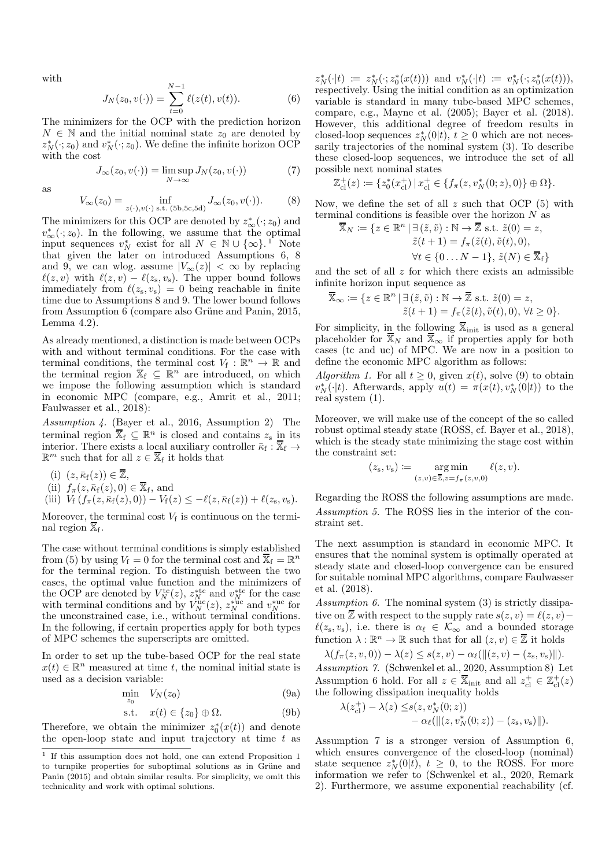with

$$
J_N(z_0, v(\cdot)) = \sum_{t=0}^{N-1} \ell(z(t), v(t)).
$$
 (6)

The minimizers for the OCP with the prediction horizon  $N \in \mathbb{N}$  and the initial nominal state  $z_0$  are denoted by  $z_N^*(\cdot; z_0)$  and  $v_N^*(\cdot; z_0)$ . We define the infinite horizon OCP with the cost

$$
J_{\infty}(z_0, v(\cdot)) = \limsup_{N \to \infty} J_N(z_0, v(\cdot))
$$
 (7)

as

$$
V_{\infty}(z_0) = \inf_{z(\cdot), v(\cdot) \text{ s.t. } (5b, 5c, 5d)} J_{\infty}(z_0, v(\cdot)).
$$
 (8)

The minimizers for this OCP are denoted by  $z^*_{\infty}(\cdot; z_0)$  and  $v^*_{\infty}(\cdot; z_0)$ . In the following, we assume that the optimal input sequences  $v_N^*$  exist for all  $N \in \mathbb{N} \cup \{\infty\}$ .<sup>1</sup> Note that given the later on introduced Assumptions 6, 8 and 9, we can wlog. assume  $|V_\infty(z)| < \infty$  by replacing  $\ell(z, v)$  with  $\ell(z, v) - \ell(z_{s}, v_{s})$ . The upper bound follows immediately from  $\ell(z_s, v_s) = 0$  being reachable in finite time due to Assumptions 8 and 9. The lower bound follows from Assumption 6 (compare also Grüne and Panin, 2015, Lemma 4.2).

As already mentioned, a distinction is made between OCPs with and without terminal conditions. For the case with terminal conditions, the terminal cost  $V_f : \mathbb{R}^n \to \mathbb{R}$  and the terminal region  $\overline{X}_f \subseteq \mathbb{R}^n$  are introduced, on which we impose the following assumption which is standard in economic MPC (compare, e.g., Amrit et al., 2011; Faulwasser et al., 2018):

*Assumption 4.* (Bayer et al., 2016, Assumption 2) The terminal region  $\overline{X}_f \subseteq \mathbb{R}^n$  is closed and contains  $z_s$  in its interior. There exists a local auxiliary controller  $\bar{\kappa}_{\text{f}} : \overline{\mathbb{X}}_{\text{f}} \to$  $\mathbb{R}^m$  such that for all  $z \in \overline{\mathbb{X}}_f$  it holds that

(i)  $(z, \bar{\kappa}_f(z)) \in \overline{\mathbb{Z}},$ 

(ii) 
$$
f_{\pi}(z, \bar{\kappa}_{f}(z), 0) \in \mathbb{X}_{f}
$$
, and

(iii)  $V_f(f_\pi(z,\bar{\kappa}_f(z),0)) - V_f(z) \leq -\ell(z,\bar{\kappa}_f(z)) + \ell(z_s,v_s).$ 

Moreover, the terminal cost  $V_f$  is continuous on the terminal region  $\overline{\mathbb{X}}_f$ .

The case without terminal conditions is simply established from (5) by using  $V_f = 0$  for the terminal cost and  $\overline{X}_f = \mathbb{R}^n$ for the terminal region. To distinguish between the two cases, the optimal value function and the minimizers of the OCP are denoted by  $V_N^{\text{tc}}(z)$ ,  $z_N^{\text{stc}}$  and  $v_N^{\text{stc}}$  for the case with terminal conditions and by  $\dot{V}_N^{\text{uc}}(z)$ ,  $z_N^{\text{vac}}$  and  $v_N^{\text{vac}}$  for the unconstrained case, i.e., without terminal conditions. In the following, if certain properties apply for both types of MPC schemes the superscripts are omitted.

In order to set up the tube-based OCP for the real state  $x(t) \in \mathbb{R}^n$  measured at time t, the nominal initial state is used as a decision variable:

$$
\min_{z_0} V_N(z_0) \tag{9a}
$$

$$
s.t. \quad x(t) \in \{z_0\} \oplus \Omega. \tag{9b}
$$

Therefore, we obtain the minimizer  $z_0^*(x(t))$  and denote the open-loop state and input trajectory at time  $t$  as

 $z_N^*(\cdot|t) := z_N^*(\cdot; z_0^*(x(t)))$  and  $v_N^*(\cdot|t) := v_N^*(\cdot; z_0^*(x(t))),$ respectively. Using the initial condition as an optimization variable is standard in many tube-based MPC schemes, compare, e.g., Mayne et al. (2005); Bayer et al. (2018). However, this additional degree of freedom results in closed-loop sequences  $z_N^*(0|t)$ ,  $t \geq 0$  which are not necessarily trajectories of the nominal system (3). To describe these closed-loop sequences, we introduce the set of all possible next nominal states

$$
\mathbb{Z}_{\text{cl}}^+(z) \coloneqq \{z_0^*(x_{\text{cl}}^+) \, | \, x_{\text{cl}}^+ \in \{f_\pi(z, v_N^*(0; z), 0)\} \oplus \Omega\}.
$$

Now, we define the set of all  $z$  such that OCP  $(5)$  with terminal conditions is feasible over the horizon  $N$  as

$$
\overline{\mathbb{X}}_N := \{ z \in \mathbb{R}^n \mid \exists (\tilde{z}, \tilde{v}) : \mathbb{N} \to \overline{\mathbb{Z}} \text{ s.t. } \tilde{z}(0) = z, \n\tilde{z}(t+1) = f_\pi(\tilde{z}(t), \tilde{v}(t), 0), \n\forall t \in \{0 \dots N-1\}, \tilde{z}(N) \in \overline{\mathbb{X}}_f \}
$$

and the set of all  $z$  for which there exists an admissible infinite horizon input sequence as

$$
\overline{\mathbb{X}}_{\infty} := \{ z \in \mathbb{R}^n \mid \exists (\tilde{z}, \tilde{v}) : \mathbb{N} \to \overline{\mathbb{Z}} \text{ s.t. } \tilde{z}(0) = z, \tilde{z}(t+1) = f_{\pi}(\tilde{z}(t), \tilde{v}(t), 0), \forall t \ge 0 \}.
$$

For simplicity, in the following  $\overline{\mathbb{X}}_{init}$  is used as a general placeholder for  $\overline{X}_N$  and  $\overline{X}_{\infty}$  if properties apply for both cases (tc and uc) of MPC. We are now in a position to define the economic MPC algorithm as follows:

*Algorithm 1.* For all  $t \geq 0$ , given  $x(t)$ , solve (9) to obtain  $v_N^*(\cdot|t)$ . Afterwards, apply  $u(t) = \pi(x(t), v_N^*(0|t))$  to the real system (1).

Moreover, we will make use of the concept of the so called robust optimal steady state (ROSS, cf. Bayer et al., 2018), which is the steady state minimizing the stage cost within the constraint set:

$$
(z_s, v_s) := \underset{(z,v) \in \overline{\mathbb{Z}}, z = f_\pi(z,v,0)}{\arg \min} \ell(z,v).
$$

Regarding the ROSS the following assumptions are made. *Assumption 5.* The ROSS lies in the interior of the constraint set.

The next assumption is standard in economic MPC. It ensures that the nominal system is optimally operated at steady state and closed-loop convergence can be ensured for suitable nominal MPC algorithms, compare Faulwasser et al. (2018).

*Assumption 6.* The nominal system (3) is strictly dissipative on  $\overline{Z}$  with respect to the supply rate  $s(z, v) = \ell(z, v) - \overline{Z}$  $\ell(z_s, v_s)$ , i.e. there is  $\alpha_\ell \in \mathcal{K}_{\infty}$  and a bounded storage function  $\lambda : \mathbb{R}^n \to \mathbb{R}$  such that for all  $(z, v) \in \overline{\mathbb{Z}}$  it holds

 $\lambda(f_\pi(z, v, 0)) - \lambda(z) \leq s(z, v) - \alpha_\ell(||(z, v) - (z_{\rm s}, v_{\rm s})||).$ *Assumption 7.* (Schwenkel et al., 2020, Assumption 8) Let Assumption 6 hold. For all  $z \in \overline{\mathbb{X}}_{init}$  and all  $z_{\text{cl}}^+ \in \mathbb{Z}_{\text{cl}}^+(z)$ the following dissipation inequality holds

$$
\lambda(z_{\rm cl}^+) - \lambda(z) \leq s(z, v_N^*(0; z)) - \alpha_\ell(\|(z, v_N^*(0; z)) - (z_{\rm s}, v_{\rm s})\|).
$$

Assumption 7 is a stronger version of Assumption 6, which ensures convergence of the closed-loop (nominal) state sequence  $z_N^*(0|t)$ ,  $t \geq 0$ , to the ROSS. For more information we refer to (Schwenkel et al., 2020, Remark 2). Furthermore, we assume exponential reachability (cf.

<sup>1</sup> If this assumption does not hold, one can extend Proposition 1 to turnpike properties for suboptimal solutions as in Grüne and Panin (2015) and obtain similar results. For simplicity, we omit this technicality and work with optimal solutions.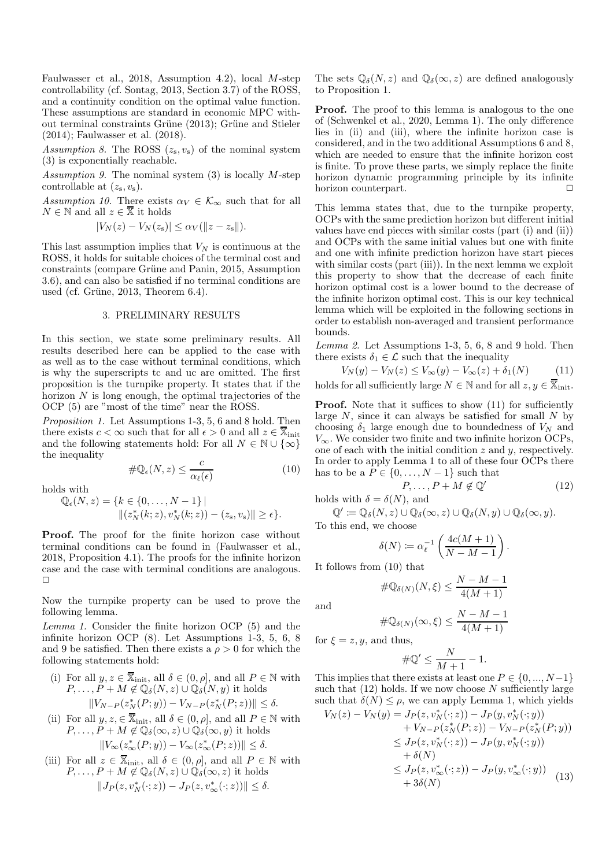Faulwasser et al., 2018, Assumption 4.2), local M-step controllability (cf. Sontag, 2013, Section 3.7) of the ROSS, and a continuity condition on the optimal value function. These assumptions are standard in economic MPC without terminal constraints Grüne (2013); Grüne and Stieler (2014); Faulwasser et al. (2018).

*Assumption 8.* The ROSS  $(z_s, v_s)$  of the nominal system (3) is exponentially reachable.

*Assumption 9.* The nominal system (3) is locally M-step controllable at  $(z_s, v_s)$ .

*Assumption 10.* There exists  $\alpha_V \in \mathcal{K}_{\infty}$  such that for all  $N \in \mathbb{N}$  and all  $z \in \overline{\mathbb{X}}$  it holds

$$
|V_N(z) - V_N(z_{\rm s})| \le \alpha_V(||z - z_{\rm s}||).
$$

This last assumption implies that  $V_N$  is continuous at the ROSS, it holds for suitable choices of the terminal cost and constraints (compare Grüne and Panin, 2015, Assumption 3.6), and can also be satisfied if no terminal conditions are used (cf. Grüne,  $2013$ , Theorem  $6.4$ ).

## 3. PRELIMINARY RESULTS

In this section, we state some preliminary results. All results described here can be applied to the case with as well as to the case without terminal conditions, which is why the superscripts tc and uc are omitted. The first proposition is the turnpike property. It states that if the horizon  $N$  is long enough, the optimal trajectories of the OCP (5) are "most of the time" near the ROSS.

*Proposition 1.* Let Assumptions 1-3, 5, 6 and 8 hold. Then there exists  $c < \infty$  such that for all  $\epsilon > 0$  and all  $z \in \overline{\mathbb{X}}_{init}$ and the following statements hold: For all  $N \in \mathbb{N} \cup \{\infty\}$ the inequality

$$
\#\mathbb{Q}_{\epsilon}(N,z) \le \frac{c}{\alpha_{\ell}(\epsilon)}\tag{10}
$$

holds with

$$
\mathbb{Q}_{\epsilon}(N,z) = \{k \in \{0, \ldots, N-1\} \mid ||(z_N^*(k;z), v_N^*(k;z)) - (z_s, v_s)|| \ge \epsilon \}.
$$

**Proof.** The proof for the finite horizon case without terminal conditions can be found in (Faulwasser et al., 2018, Proposition 4.1). The proofs for the infinite horizon case and the case with terminal conditions are analogous.  $\Box$ 

Now the turnpike property can be used to prove the following lemma.

*Lemma 1.* Consider the finite horizon OCP (5) and the infinite horizon OCP (8). Let Assumptions 1-3, 5, 6, 8 and 9 be satisfied. Then there exists a  $\rho > 0$  for which the following statements hold:

- (i) For all  $y, z \in \mathbb{X}_{\text{init}}$ , all  $\delta \in (0, \rho],$  and all  $P \in \mathbb{N}$  with  $P, \ldots, P + M \notin \mathbb{Q}_{\delta}(N, z) \cup \mathbb{Q}_{\delta}(N, y)$  it holds  $||V_{N-P}(z_N^*(P; y)) - V_{N-P}(z_N^*(P; z))|| \le \delta.$
- (ii) For all  $y, z \in \overline{\mathbb{X}}_{init}$ , all  $\delta \in (0, \rho]$ , and all  $P \in \mathbb{N}$  with  $P, \ldots, P + M \notin \mathbb{Q}_{\delta}(\infty, z) \cup \mathbb{Q}_{\delta}(\infty, y)$  it holds  $||V_\infty(z^*_\infty(P; y)) - V_\infty(z^*_\infty(P; z))|| \le \delta.$
- (iii) For all  $z \in \overline{\mathbb{X}}_{\text{init}}$ , all  $\delta \in (0, \rho],$  and all  $P \in \mathbb{N}$  with  $P, \ldots, P + M \notin \mathbb{Q}_{\delta}(N, z) \cup \mathbb{Q}_{\delta}(\infty, z)$  it holds  $||J_P(z, v_N^*(\cdot; z)) - J_P(z, v_\infty^*(\cdot; z))|| \le \delta.$

The sets  $\mathbb{Q}_{\delta}(N, z)$  and  $\mathbb{Q}_{\delta}(\infty, z)$  are defined analogously to Proposition 1.

**Proof.** The proof to this lemma is analogous to the one of (Schwenkel et al., 2020, Lemma 1). The only difference lies in (ii) and (iii), where the infinite horizon case is considered, and in the two additional Assumptions 6 and 8, which are needed to ensure that the infinite horizon cost is finite. To prove these parts, we simply replace the finite horizon dynamic programming principle by its infinite horizon counterpart.

This lemma states that, due to the turnpike property, OCPs with the same prediction horizon but different initial values have end pieces with similar costs (part (i) and (ii)) and OCPs with the same initial values but one with finite and one with infinite prediction horizon have start pieces with similar costs (part (iii)). In the next lemma we exploit this property to show that the decrease of each finite horizon optimal cost is a lower bound to the decrease of the infinite horizon optimal cost. This is our key technical lemma which will be exploited in the following sections in order to establish non-averaged and transient performance bounds.

*Lemma 2.* Let Assumptions 1-3, 5, 6, 8 and 9 hold. Then there exists  $\delta_1 \in \mathcal{L}$  such that the inequality

$$
V_N(y) - V_N(z) \le V_\infty(y) - V_\infty(z) + \delta_1(N) \tag{11}
$$

holds for all sufficiently large  $N \in \mathbb{N}$  and for all  $z, y \in \overline{\mathbb{X}}_{init}$ .

**Proof.** Note that it suffices to show  $(11)$  for sufficiently large  $N$ , since it can always be satisfied for small  $N$  by choosing  $\delta_1$  large enough due to boundedness of  $V_N$  and  $V_{\infty}$ . We consider two finite and two infinite horizon OCPs, one of each with the initial condition  $z$  and  $y$ , respectively. In order to apply Lemma 1 to all of these four OCPs there has to be a  $P \in \{0, \ldots, N-1\}$  such that

$$
P, \dots, P + M \notin \mathbb{Q}' \tag{12}
$$

holds with 
$$
\delta = \delta(N)
$$
, and

$$
\mathbb{Q}' \coloneqq \mathbb{Q}_{\delta}(N, z) \cup \mathbb{Q}_{\delta}(\infty, z) \cup \mathbb{Q}_{\delta}(N, y) \cup \mathbb{Q}_{\delta}(\infty, y).
$$
  
to this end, we choose

To this end, we choose

$$
\delta(N) \coloneqq \alpha_{\ell}^{-1} \left( \frac{4c(M+1)}{N-M-1} \right).
$$

It follows from (10) that

$$
\#\mathbb{Q}_{\delta(N)}(N,\xi) \le \frac{N-M-1}{4(M+1)}
$$

and

$$
\#\mathbb{Q}_{\delta(N)}(\infty,\xi)\leq \frac{N-M-1}{4(M+1)}
$$

for  $\xi = z, y$ , and thus,

$$
\#\mathbb{Q}' \leq \frac{N}{M+1} - 1.
$$

This implies that there exists at least one  $P \in \{0, ..., N-1\}$ such that  $(12)$  holds. If we now choose N sufficiently large such that  $\delta(N) \leq \rho$ , we can apply Lemma 1, which yields

$$
V_N(z) - V_N(y) = J_P(z, v_N^*(\cdot; z)) - J_P(y, v_N^*(\cdot; y)) + V_{N-P}(z_N^*(P; z)) - V_{N-P}(z_N^*(P; y)) \le J_P(z, v_N^*(\cdot; z)) - J_P(y, v_N^*(\cdot; y)) + \delta(N) \le J_P(z, v_\infty^*(\cdot; z)) - J_P(y, v_\infty^*(\cdot; y)) + 3\delta(N)
$$
(13)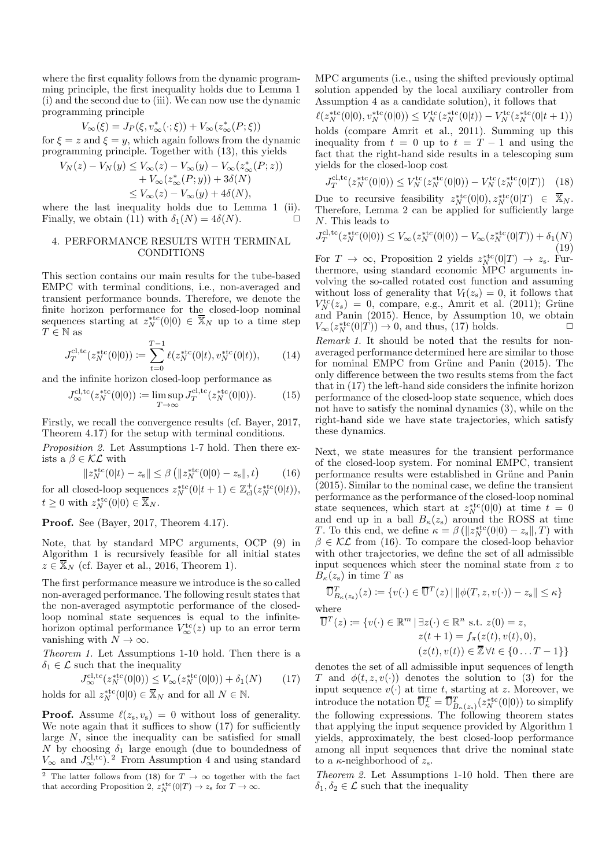where the first equality follows from the dynamic programming principle, the first inequality holds due to Lemma 1 (i) and the second due to (iii). We can now use the dynamic programming principle

$$
V_{\infty}(\xi) = J_P(\xi, v_{\infty}^*(\cdot;\xi)) + V_{\infty}(z_{\infty}^*(P;\xi))
$$

for  $\xi = z$  and  $\xi = y$ , which again follows from the dynamic programming principle. Together with (13), this yields

 $V_N(z)$ 

$$
-V_N(y) \le V_\infty(z) - V_\infty(y) - V_\infty(z^*_{\infty}(P; z))
$$
  
+  $V_\infty(z^*_{\infty}(P; y)) + 3\delta(N)$   
 $\le V_\infty(z) - V_\infty(y) + 4\delta(N),$ 

where the last inequality holds due to Lemma 1 (ii). Finally, we obtain (11) with  $\delta_1(N) = 4\delta(N)$ .

## 4. PERFORMANCE RESULTS WITH TERMINAL CONDITIONS

This section contains our main results for the tube-based EMPC with terminal conditions, i.e., non-averaged and transient performance bounds. Therefore, we denote the finite horizon performance for the closed-loop nominal sequences starting at  $z_N^{*{\rm tc}}(0|0) \in \overline{X}_N$  up to a time step  $T\in\mathbb{N}$  as

$$
J_T^{\text{cl,tc}}(z_N^{\text{stc}}(0|0)) \coloneqq \sum_{t=0}^{T-1} \ell(z_N^{\text{stc}}(0|t), v_N^{\text{stc}}(0|t)),\tag{14}
$$

and the infinite horizon closed-loop performance as

$$
J_{\infty}^{\text{cl,tc}}(z_N^{\text{stc}}(0|0)) \coloneqq \limsup_{T \to \infty} J_T^{\text{cl,tc}}(z_N^{\text{stc}}(0|0)). \tag{15}
$$

Firstly, we recall the convergence results (cf. Bayer, 2017, Theorem 4.17) for the setup with terminal conditions.

*Proposition 2.* Let Assumptions 1-7 hold. Then there exists a  $\beta \in \mathcal{KL}$  with

$$
||z_N^{*tc}(0|t) - z_s|| \le \beta \left( ||z_N^{*tc}(0|0) - z_s||, t \right) \tag{16}
$$

for all closed-loop sequences  $z_N^{*tc}(0|t+1) \in \mathbb{Z}^+_{\text{cl}}(z_N^{*tc}(0|t)),$  $t \geq 0$  with  $z_N^{\text{stc}}(0|0) \in \overline{\mathbb{X}}_N$ .

Proof. See (Bayer, 2017, Theorem 4.17).

Note, that by standard MPC arguments, OCP (9) in Algorithm 1 is recursively feasible for all initial states  $z \in \mathbb{X}_N$  (cf. Bayer et al., 2016, Theorem 1).

The first performance measure we introduce is the so called non-averaged performance. The following result states that the non-averaged asymptotic performance of the closedloop nominal state sequences is equal to the infinitehorizon optimal performance  $V_{\infty}^{\text{tc}}(z)$  up to an error term vanishing with  $N \to \infty$ .

*Theorem 1.* Let Assumptions 1-10 hold. Then there is a  $\delta_1 \in \mathcal{L}$  such that the inequality

$$
J_{\infty}^{\text{cl,tc}}(z_N^{\text{stc}}(0|0)) \le V_{\infty}(z_N^{\text{stc}}(0|0)) + \delta_1(N) \tag{17}
$$
  
holds for all  $z_N^{\text{stc}}(0|0) \in \overline{\mathbb{X}}_N$  and for all  $N \in \mathbb{N}$ .

**Proof.** Assume  $\ell(z_s, v_s) = 0$  without loss of generality. We note again that it suffices to show  $(17)$  for sufficiently large  $N$ , since the inequality can be satisfied for small N by choosing  $\delta_1$  large enough (due to boundedness of  $V_{\infty}$  and  $J_{\infty}^{\text{cl,tc}}$ . From Assumption 4 and using standard

MPC arguments (i.e., using the shifted previously optimal solution appended by the local auxiliary controller from Assumption 4 as a candidate solution), it follows that

$$
\ell(z_N^{\text{stc}}(0|0), v_N^{\text{stc}}(0|0)) \leq V_N^{\text{tc}}(z_N^{\text{stc}}(0|t)) - V_N^{\text{tc}}(z_N^{\text{stc}}(0|t+1))
$$
 holds (compare Amrit et al., 2011). Summing up this inequality from  $t = 0$  up to  $t = T - 1$  and using the fact that the right-hand side results in a telescoping sum yields for the closed-loop cost

$$
J_T^{\text{cl,tc}}(z_N^{\text{stc}}(0|0)) \le V_N^{\text{tc}}(z_N^{\text{stc}}(0|0)) - V_N^{\text{tc}}(z_N^{\text{stc}}(0|T)) \quad (18)
$$

Due to recursive feasibility  $z_N^{*tc}(0|0), z_N^{*tc}(0|T) \in \overline{X}_N$ . Therefore, Lemma 2 can be applied for sufficiently large N. This leads to

$$
J_T^{\text{cl,tc}}(z_N^{\text{stc}}(0|0)) \le V_\infty(z_N^{\text{stc}}(0|0)) - V_\infty(z_N^{\text{stc}}(0|T)) + \delta_1(N)
$$
\n(19)

For  $T \to \infty$ , Proposition 2 yields  $z_N^{*tc}(0|T) \to z_s$ . Furthermore, using standard economic MPC arguments involving the so-called rotated cost function and assuming without loss of generality that  $V_f(z_s) = 0$ , it follows that  $V^{\text{tc}}_N(z_s) = 0$ , compare, e.g., Amrit et al. (2011); Grüne and Panin (2015). Hence, by Assumption 10, we obtain  $V_{\infty}(z_N^{*\text{tc}}(0|T)) \to 0$ , and thus, (17) holds.  $\square$ 

*Remark 1.* It should be noted that the results for nonaveraged performance determined here are similar to those for nominal EMPC from Grüne and Panin (2015). The only difference between the two results stems from the fact that in (17) the left-hand side considers the infinite horizon performance of the closed-loop state sequence, which does not have to satisfy the nominal dynamics (3), while on the right-hand side we have state trajectories, which satisfy these dynamics.

Next, we state measures for the transient performance of the closed-loop system. For nominal EMPC, transient  $\operatorname{performance}$  results were established in Grüne and Panin (2015). Similar to the nominal case, we define the transient performance as the performance of the closed-loop nominal state sequences, which start at  $z_N^{\text{stc}}(0|0)$  at time  $t = 0$ and end up in a ball  $B_{\kappa}(z_{s})$  around the ROSS at time T. To this end, we define  $\kappa = \beta \left( \|z_N^{*\text{tc}}(0|0) - z_s \|, T \right)$  with  $\beta \in \mathcal{KL}$  from (16). To compare the closed-loop behavior with other trajectories, we define the set of all admissible input sequences which steer the nominal state from z to  $B_{\kappa}(z_{s})$  in time T as

$$
\overline{\mathbb{U}}_{B_{\kappa}(z_{\mathbf{s}})}^{T}(z) := \{v(\cdot) \in \overline{\mathbb{U}}^{T}(z) \mid ||\phi(T, z, v(\cdot)) - z_{\mathbf{s}}|| \leq \kappa\}
$$
  
where  

$$
\overline{\mathbb{U}}^{T}(z) := \{v(\cdot) \in \mathbb{R}^{m} \mid \exists z(\cdot) \in \mathbb{R}^{n} \text{ s.t. } z(0) = z,
$$

$$
z(t+1) = f_{\pi}(z(t), v(t), 0),
$$

$$
(z(t),v(t)) \in \overline{\mathbb{Z}} \,\forall t \in \{0 \ldots T-1\}\}
$$

denotes the set of all admissible input sequences of length T and  $\phi(t, z, v(\cdot))$  denotes the solution to (3) for the input sequence  $v(\cdot)$  at time t, starting at z. Moreover, we introduce the notation  $\overline{\mathbb{U}}_{\kappa}^T = \overline{\mathbb{U}}_{B_{\kappa}(z_{\mathrm{s}})}^T(z_N^{\mathrm{stc}}(0|0))$  to simplify the following expressions. The following theorem states that applying the input sequence provided by Algorithm 1 yields, approximately, the best closed-loop performance among all input sequences that drive the nominal state to a  $\kappa$ -neighborhood of  $z_{\rm s}$ .

*Theorem 2.* Let Assumptions 1-10 hold. Then there are  $\delta_1, \delta_2 \in \mathcal{L}$  such that the inequality

<sup>&</sup>lt;sup>2</sup> The latter follows from (18) for  $T \rightarrow \infty$  together with the fact that according Proposition 2,  $z_N^{\text{stc}}(0|T) \to z_s$  for  $T \to \infty$ .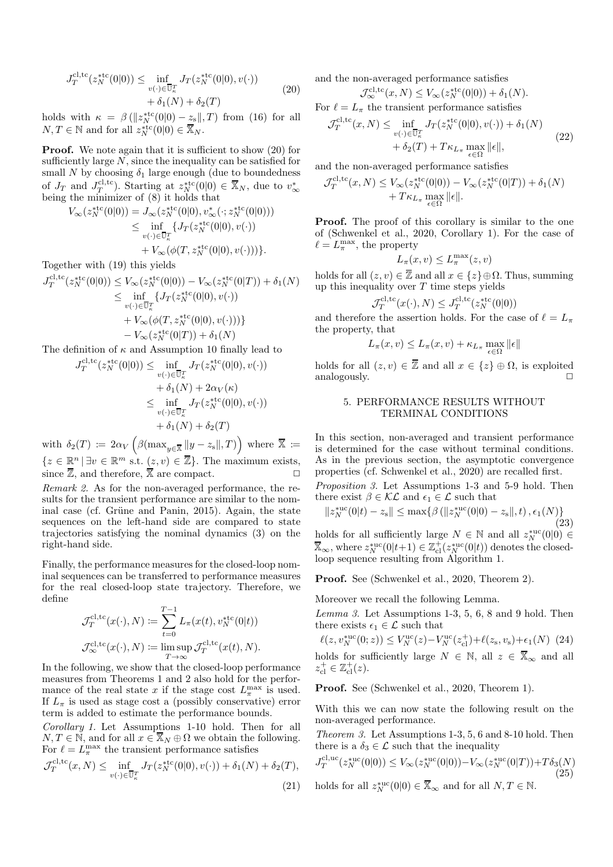$$
J_T^{\text{cl,tc}}(z_N^{\text{stc}}(0|0)) \le \inf_{v(\cdot) \in \overline{\mathbb{U}}_k^T} J_T(z_N^{\text{stc}}(0|0), v(\cdot)) + \delta_1(N) + \delta_2(T)
$$
 (20)

holds with  $\kappa = \beta(||z_N^*{}^{t\text{c}}(0|0) - z_s||, T)$  from (16) for all  $N, T \in \mathbb{N}$  and for all  $z_N^{*\text{tc}}(0|0) \in \overline{\mathbb{X}}_N$ .

**Proof.** We note again that it is sufficient to show (20) for sufficiently large  $N$ , since the inequality can be satisfied for small N by choosing  $\delta_1$  large enough (due to boundedness of  $J_T$  and  $J_T^{\text{cl,tc}}$ ). Starting at  $z_N^{\text{stc}}(0|0) \in \overline{X}_N$ , due to  $v^*_{\infty}$  being the minimizer of (8) it holds that

$$
V_{\infty}(z_N^{*tc}(0|0)) = J_{\infty}(z_N^{*tc}(0|0), v_{\infty}^*(\cdot; z_N^{*tc}(0|0)))
$$
  
\n
$$
\leq \inf_{v(\cdot) \in \overline{U}_k^T} \{J_T(z_N^{*tc}(0|0), v(\cdot))
$$
  
\n
$$
+ V_{\infty}(\phi(T, z_N^{*tc}(0|0), v(\cdot)))\}.
$$

Together with (19) this yields

$$
J_T^{\text{cl,tc}}(z_N^{\text{stc}}(0|0)) \leq V_\infty(z_N^{\text{stc}}(0|0)) - V_\infty(z_N^{\text{stc}}(0|T)) + \delta_1(N)
$$
  
\n
$$
\leq \inf_{v(\cdot) \in \overline{\mathbb{U}}^T_\kappa} \{ J_T(z_N^{\text{stc}}(0|0), v(\cdot))
$$
  
\n
$$
+ V_\infty(\phi(T, z_N^{\text{stc}}(0|0), v(\cdot))) \}
$$
  
\n
$$
- V_\infty(z_N^{\text{stc}}(0|T)) + \delta_1(N)
$$

The definition of  $\kappa$  and Assumption 10 finally lead to

$$
J_T^{\text{cl,tc}}(z_N^{\text{stc}}(0|0)) \le \inf_{v(\cdot) \in \overline{\mathbb{U}}_k^T} J_T(z_N^{\text{stc}}(0|0), v(\cdot))
$$
  

$$
+ \delta_1(N) + 2\alpha_V(\kappa)
$$
  

$$
\le \inf_{v(\cdot) \in \overline{\mathbb{U}}_k^T} J_T(z_N^{\text{stc}}(0|0), v(\cdot))
$$
  

$$
+ \delta_1(N) + \delta_2(T)
$$

with  $\delta_2(T) \coloneqq 2\alpha_V \left( \beta(\max_{y \in \overline{\mathbb{X}}} ||y-z_{\text{s}}||, T) \right)$  where  $\overline{\mathbb{X}} \coloneqq$  $\{z \in \mathbb{R}^n \mid \exists v \in \mathbb{R}^m \text{ s.t. } (z, v) \in \overline{\mathbb{Z}}\}.$  The maximum exists, since  $\overline{\mathbb{Z}}$ , and therefore,  $\overline{\mathbb{X}}$  are compact.

*Remark 2.* As for the non-averaged performance, the results for the transient performance are similar to the nominal case (cf. Grüne and Panin, 2015). Again, the state sequences on the left-hand side are compared to state trajectories satisfying the nominal dynamics (3) on the right-hand side.

Finally, the performance measures for the closed-loop nominal sequences can be transferred to performance measures for the real closed-loop state trajectory. Therefore, we define

$$
\mathcal{J}_T^{\text{cl,tc}}(x(\cdot), N) \coloneqq \sum_{t=0}^{T-1} L_{\pi}(x(t), v_N^{* \text{tc}}(0|t))
$$
  

$$
\mathcal{J}_{\infty}^{\text{cl,tc}}(x(\cdot), N) \coloneqq \limsup_{T \to \infty} \mathcal{J}_T^{\text{cl,tc}}(x(t), N).
$$

In the following, we show that the closed-loop performance measures from Theorems 1 and 2 also hold for the performance of the real state x if the stage cost  $L_{\pi}^{\max}$  is used. If  $L_{\pi}$  is used as stage cost a (possibly conservative) error term is added to estimate the performance bounds.

*Corollary 1.* Let Assumptions 1-10 hold. Then for all  $N, T \in \mathbb{N}$ , and for all  $x \in \overline{\mathbb{X}}_N \oplus \Omega$  we obtain the following. For  $\ell = L_{\pi}^{\max}$  the transient performance satisfies

$$
\mathcal{J}_T^{\text{cl,tc}}(x, N) \le \inf_{v(\cdot) \in \overline{\mathbb{U}}_\kappa^T} J_T(z_N^{*\text{tc}}(0|0), v(\cdot)) + \delta_1(N) + \delta_2(T),\tag{21}
$$

and the non-averaged performance satisfies

$$
\mathcal{J}_{\infty}^{\text{cl,tc}}(x, N) \leq V_{\infty}(z_N^{\text{stc}}(0|0)) + \delta_1(N).
$$

For  $\ell = L_{\pi}$  the transient performance satisfies

$$
\mathcal{J}_T^{\text{cl,tc}}(x, N) \le \inf_{v(\cdot) \in \overline{\mathbb{U}}_K^T} J_T(z_N^{* \text{tc}}(0|0), v(\cdot)) + \delta_1(N) + \delta_2(T) + T\kappa_{L_\pi} \max_{\epsilon \in \Omega} \|\epsilon\|,
$$
\n(22)

and the non-averaged performance satisfies

$$
\mathcal{J}_T^{\text{cl,tc}}(x, N) \leq V_{\infty}(z_N^{\text{stc}}(0|0)) - V_{\infty}(z_N^{\text{stc}}(0|T)) + \delta_1(N) + T\kappa_{L_\pi} \max_{\epsilon \in \Omega} ||\epsilon||.
$$

**Proof.** The proof of this corollary is similar to the one of (Schwenkel et al., 2020, Corollary 1). For the case of  $\ell = L_{\pi}^{\max}$ , the property

$$
L_\pi(x,v) \leq L_\pi^{\max}(z,v)
$$

holds for all  $(z, v) \in \overline{\mathbb{Z}}$  and all  $x \in \{z\} \oplus \Omega$ . Thus, summing up this inequality over  $T$  time steps yields

$$
\mathcal{J}_T^{\text{cl,tc}}(x(\cdot), N) \le J_T^{\text{cl,tc}}(z_N^{\text{stc}}(0|0))
$$

and therefore the assertion holds. For the case of  $\ell = L_{\pi}$ the property, that

$$
L_{\pi}(x,v) \le L_{\pi}(x,v) + \kappa_{L_{\pi}} \max_{\epsilon \in \Omega} \|\epsilon\|
$$

holds for all  $(z, v) \in \overline{\mathbb{Z}}$  and all  $x \in \{z\} \oplus \Omega$ , is exploited analogously.  $\Box$ 

## 5. PERFORMANCE RESULTS WITHOUT TERMINAL CONDITIONS

In this section, non-averaged and transient performance is determined for the case without terminal conditions. As in the previous section, the asymptotic convergence properties (cf. Schwenkel et al., 2020) are recalled first.

*Proposition 3.* Let Assumptions 1-3 and 5-9 hold. Then there exist  $\beta \in \mathcal{KL}$  and  $\epsilon_1 \in \mathcal{L}$  such that

$$
||z_N^{\text{succ}}(0|t) - z_s|| \le \max\{\beta\left(\|z_N^{\text{succ}}(0|0) - z_s\|, t\right), \epsilon_1(N)\}\tag{23}
$$

holds for all sufficiently large  $N \in \mathbb{N}$  and all  $z_N^{\text{vac}}(0|0) \in$  $\overline{\mathbb{X}}_{\infty}$ , where  $z_N^{*uc}(0|t+1) \in \mathbb{Z}_{\text{cl}}^+(z_N^{*uc}(0|t))$  denotes the closedloop sequence resulting from Algorithm 1.

Proof. See (Schwenkel et al., 2020, Theorem 2).

Moreover we recall the following Lemma.

*Lemma 3.* Let Assumptions 1-3, 5, 6, 8 and 9 hold. Then there exists  $\epsilon_1 \in \mathcal{L}$  such that

 $\ell(z, v_N^{\text{succ}}(0; z)) \le V_N^{\text{uc}}(z) - V_N^{\text{uc}}(z_{\text{cl}}^+) + \ell(z_{\text{s}}, v_{\text{s}}) + \epsilon_1(N)$  (24) holds for sufficiently large  $N \in \mathbb{N}$ , all  $z \in \overline{\mathbb{X}}_{\infty}$  and all  $z_{\text{cl}}^+ \in \mathbb{Z}_{\text{cl}}^+(z).$ 

Proof. See (Schwenkel et al., 2020, Theorem 1).

With this we can now state the following result on the non-averaged performance.

*Theorem 3.* Let Assumptions 1-3, 5, 6 and 8-10 hold. Then there is a  $\delta_3 \in \mathcal{L}$  such that the inequality

$$
J_T^{\text{cl},\text{uc}}(z_N^{\text{tuc}}(0|0)) \le V_\infty(z_N^{\text{tuc}}(0|0)) - V_\infty(z_N^{\text{tuc}}(0|T)) + T\delta_3(N)
$$
\n(25)

holds for all  $z_N^{*\text{uc}}(0|0) \in \overline{\mathbb{X}}_{\infty}$  and for all  $N, T \in \mathbb{N}$ .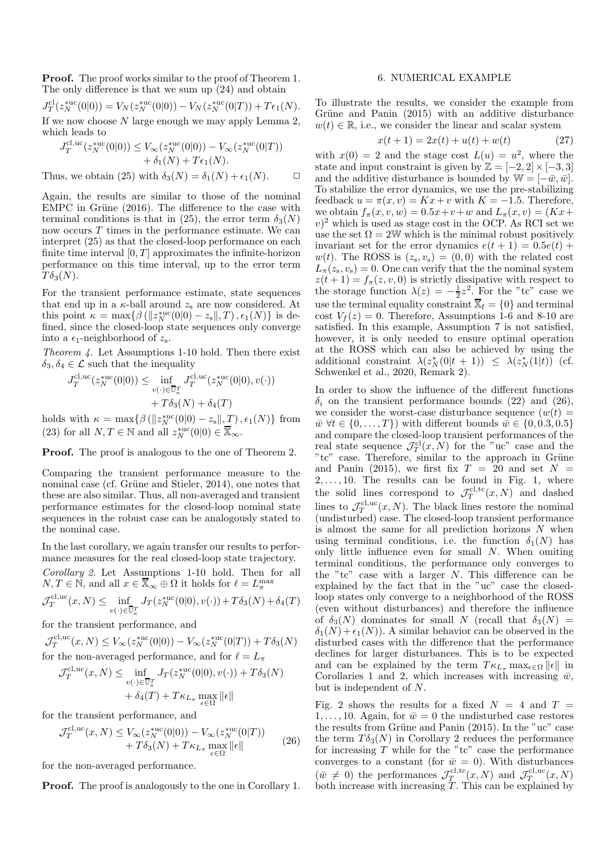Proof. The proof works similar to the proof of Theorem 1. The only difference is that we sum up (24) and obtain

$$
J_T^{\text{cl}}(z_N^{\text{*uc}}(0|0)) = V_N(z_N^{\text{*uc}}(0|0)) - V_N(z_N^{\text{*uc}}(0|T)) + T\epsilon_1(N).
$$
  
If we now choose N large enough we may apply Lemma 2, which leads to

$$
J_T^{\text{cl,uc}}(z_N^{\text{tuc}}(0|0)) \le V_\infty(z_N^{\text{tuc}}(0|0)) - V_\infty(z_N^{\text{tuc}}(0|T)) + \delta_1(N) + T\epsilon_1(N).
$$

Thus, we obtain (25) with  $\delta_3(N) = \delta_1(N) + \epsilon_1(N)$ .  $\Box$ 

Again, the results are similar to those of the nominal  $EMPC$  in Grüne (2016). The difference to the case with terminal conditions is that in (25), the error term  $\delta_3(N)$ now occurs  $T$  times in the performance estimate. We can interpret (25) as that the closed-loop performance on each finite time interval  $[0, T]$  approximates the infinite-horizon performance on this time interval, up to the error term  $T\delta_3(N)$ .

For the transient performance estimate, state sequences that end up in a  $\kappa$ -ball around  $z_s$  are now considered. At this point  $\kappa = \max\{\beta\left(\|z_N^{*\text{uc}}(0|0) - z_s\|, T\right), \epsilon_1(N)\}\)$  is defined, since the closed-loop state sequences only converge into a  $\epsilon_1$ -neighborhood of  $z_s$ .

*Theorem 4.* Let Assumptions 1-10 hold. Then there exist  $\delta_3, \delta_4 \in \mathcal{L}$  such that the inequality

$$
J_T^{\text{cl,uc}}(z_N^{\text{tuc}}(0|0)) \le \inf_{v(\cdot) \in \overline{\mathbb{U}}_k^T} J_T^{\text{cl,uc}}(z_N^{\text{tuc}}(0|0), v(\cdot)) + T\delta_3(N) + \delta_4(T)
$$

holds with  $\kappa = \max\{\beta\left(\|z_N^{\text{succ}}(0|0) - z_s\|, \underline{T}\right), \epsilon_1(N)\}\)$  from (23) for all  $N, T \in \mathbb{N}$  and all  $z_N^{*uc}(0|0) \in \overline{\mathbb{X}}_{\infty}$ .

Proof. The proof is analogous to the one of Theorem 2.

Comparing the transient performance measure to the nominal case (cf. Grüne and Stieler, 2014), one notes that these are also similar. Thus, all non-averaged and transient performance estimates for the closed-loop nominal state sequences in the robust case can be analogously stated to the nominal case.

In the last corollary, we again transfer our results to performance measures for the real closed-loop state trajectory.

*Corollary 2.* Let Assumptions 1-10 hold. Then for all  $N, T \in \mathbb{N}$ , and all  $x \in \overline{\mathbb{X}}_{\infty} \oplus \Omega$  it holds for  $\ell = L_{\pi}^{\max}$ 

$$
\mathcal{J}_T^{\text{cl,uc}}(x,N) \le \inf_{v(\cdot) \in \overline{\mathbb{U}}_\kappa^T} J_T(z_N^{* \text{uc}}(0|0), v(\cdot)) + T \delta_3(N) + \delta_4(T)
$$

for the transient performance, and

 $\mathcal{J}_T^{\text{cl,uc}}(x,N) \leq V_{\infty}(z_N^{*\text{uc}}(0|0)) - V_{\infty}(z_N^{*\text{uc}}(0|T)) + T\delta_3(N)$ for the non-averaged performance, and for  $\ell = L_{\pi}$ 

$$
\mathcal{J}_T^{\text{cl,uc}}(x, N) \le \inf_{v(\cdot) \in \overline{\mathbb{U}}_k^T} J_T(z_N^{*uc}(0|0), v(\cdot)) + T\delta_3(N)
$$

$$
+ \delta_4(T) + T\kappa_{L_\pi} \max_{\epsilon \in \Omega} \|\epsilon\|
$$

for the transient performance, and

$$
\mathcal{J}_T^{\text{cl,uc}}(x,N) \le V_{\infty}(z_N^{\text{tuc}}(0|0)) - V_{\infty}(z_N^{\text{tuc}}(0|T)) + T\delta_3(N) + T\kappa_{L_\pi} \max_{\epsilon \in \Omega} ||\epsilon||
$$
\n(26)

for the non-averaged performance.

Proof. The proof is analogously to the one in Corollary 1.

### 6. NUMERICAL EXAMPLE

To illustrate the results, we consider the example from Grüne and Panin  $(2015)$  with an additive disturbance  $w(t) \in \mathbb{R}$ , i.e., we consider the linear and scalar system

$$
x(t+1) = 2x(t) + u(t) + w(t)
$$
 (27)

with  $x(0) = 2$  and the stage cost  $L(u) = u^2$ , where the state and input constraint is given by  $\mathbb{Z} = [-2, 2] \times [-3, 3]$ and the additive disturbance is bounded by  $\mathbb{W} = [-\bar{w}, \bar{w}]$ . To stabilize the error dynamics, we use the pre-stabilizing feedback  $u = \pi(x, v) = Kx + v$  with  $K = -1.5$ . Therefore, we obtain  $f_{\pi}(x, v, w) = 0.5x + v + w$  and  $L_{\pi}(x, v) = (Kx +$  $(v)^2$  which is used as stage cost in the OCP. As RCI set we use the set  $\Omega = 2W$  which is the minimal robust positively invariant set for the error dynamics  $e(t + 1) = 0.5e(t) +$  $w(t)$ . The ROSS is  $(z_s, v_s) = (0, 0)$  with the related cost  $L_{\pi}(z_{s}, v_{s}) = 0$ . One can verify that the the nominal system  $z(t+1) = f_{\pi}(z, v, 0)$  is strictly dissipative with respect to the storage function  $\lambda(z) = -\frac{1}{2}z^2$ . For the "tc" case we use the terminal equality constraint  $\overline{X}_f = \{0\}$  and terminal cost  $V_f(z) = 0$ . Therefore, Assumptions 1-6 and 8-10 are satisfied. In this example, Assumption 7 is not satisfied, however, it is only needed to ensure optimal operation at the ROSS which can also be achieved by using the additional constraint  $\lambda(z_N^*(0|t+1)) \leq \lambda(z_N^*(1|t))$  (cf. Schwenkel et al., 2020, Remark 2).

In order to show the influence of the different functions  $\delta_i$  on the transient performance bounds (22) and (26), we consider the worst-case disturbance sequence  $(w(t)) =$  $\overline{w} \ \forall t \in \{0, \ldots, T\}$  with different bounds  $\overline{w} \in \{0, 0.3, 0.5\}$ and compare the closed-loop transient performances of the real state sequence  $\mathcal{J}_T^{\text{cl}}(x,N)$  for the "uc" case and the "tc" case. Therefore, similar to the approach in Grüne and Panin (2015), we first fix  $T = 20$  and set  $N =$  $2, \ldots, 10$ . The results can be found in Fig. 1, where the solid lines correspond to  $\mathcal{J}_T^{\text{cl,tc}}(x,N)$  and dashed lines to  $\mathcal{J}_T^{c l,uc}(x,N)$ . The black lines restore the nominal (undisturbed) case. The closed-loop transient performance is almost the same for all prediction horizons  $N$  when using terminal conditions, i.e. the function  $\delta_1(N)$  has only little influence even for small N. When omiting terminal conditions, the performance only converges to the "tc" case with a larger N. This difference can be explained by the fact that in the "uc" case the closedloop states only converge to a neighborhood of the ROSS (even without disturbances) and therefore the influence of  $\delta_3(N)$  dominates for small N (recall that  $\delta_3(N)$  =  $\delta_1(N) + \epsilon_1(N)$ . A similar behavior can be observed in the disturbed cases with the difference that the performance declines for larger disturbances. This is to be expected and can be explained by the term  $T \kappa_{L_{\pi}} \max_{\epsilon \in \Omega} ||\epsilon||$  in Corollaries 1 and 2, which increases with increasing  $\bar{w}$ , but is independent of N.

Fig. 2 shows the results for a fixed  $N = 4$  and  $T =$ 1, ..., 10. Again, for  $\bar{w} = 0$  the undisturbed case restores the results from Grüne and Panin  $(2015)$ . In the "uc" case the term  $T\delta_3(N)$  in Corollary 2 reduces the performance for increasing  $T$  while for the "tc" case the performance converges to a constant (for  $\bar{w} = 0$ ). With disturbances  $(\bar{w} \neq 0)$  the performances  $\mathcal{J}_T^{\text{cl,tc}}(x, N)$  and  $\mathcal{J}_T^{\text{cl,uc}}(x, N)$ both increase with increasing  $T$ . This can be explained by